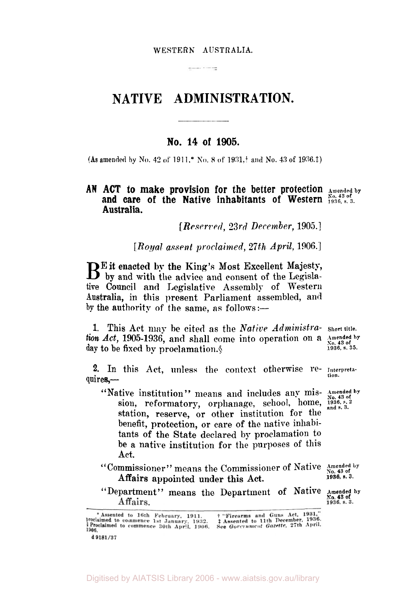#### WESTERN **AUSTRALIA.**

 $\frac{1}{2}$ 

# **NATIVE ADMINISTRATION.**

## **No. 14 of 1905.**

**(As amended** by **No. 42** *of* 1911.\* No. **8** of **193l,+ and No. 43 of** 1936.‡)

## AN ACT to make provision for the better protection Amended by and care of the Native inhabitants of Western No. 43 of 1936, s. 3. **Australia.**

*[Reserved, 23rd December,* **1905.]** 

*[Royal assent proclaimed, 27th April,* 1906.]

 $\mathbf{B}^{\text{E}}$  it enacted by the King's Most Excellent Majesty, by and with the advice and consent of the Legislative Council and Legislative Assembly of Western **Australia,** in this present Parliament assembled, and by the authority of the same, as follows:-

1. This Act may **be** cited as the *Native Administra-* **Short title.**  *tion Act,* 1905-1936, and shall come into operation on a *Amended by* day to be fixed by proclamation  $\delta$ **day** to be **fixed by** proclamation.\$ **1936, s. 35.** 

2. In this Act, unless the context otherwise re- Interpreta $quires$ —

- "Native institution" means and includes any mis-  $\frac{\text{Amended by}}{\text{No. 43 of}}$ sion, reformatory, orphanage, school, home,  $\frac{1}{1936}$ ,  $\frac{1}{804}$ ,  $\frac{1}{204}$ ,  $\frac{1}{204}$ ,  $\frac{1}{204}$ ,  $\frac{1}{204}$ ,  $\frac{1}{204}$ ,  $\frac{1}{204}$ ,  $\frac{1}{204}$ ,  $\frac{1}{204}$ ,  $\frac{1}{204}$ station, reserve, or other institution for the benefit, protection, or care of the native inhabitants of the State declared by proclamation to be a native institution for the purposes of this Act.
- Affairs appointed under this Act. "Commissioner" means the Commissioner of Native  $\frac{\text{Amended by}}{\text{No. 43 of}}$
- "Department" means the Department of Native Amended by

+ "Firearms and Guns Act, 1931,"

**1936, s. 3.** 

<sup>\*</sup> Assented to 16th February, 1911. + "Firearms and Guns Act, 1931,"<br>proclaimed to commence 1st January, 1932. † Assented to 11th December, 1936.<br>§ Proclaimed to commence 30th April, 1906. See Government Gazette, 27th April  $1986$ d 9181/37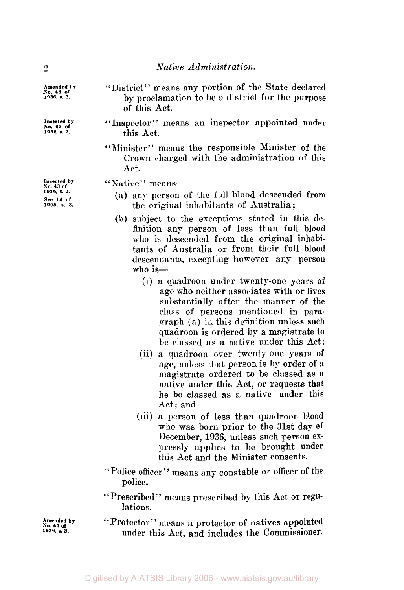## *Native Administration.*

"District" means any portion of the State declared by proclamation to be a district €or the purpose of this Act.

"Inspector" means an inspector appointed under this Act.

"Minister" means the responsible Minister of the Crown charged with the administration of this Act.

"Native" means-

- (a) any person of the full blood descended from the original inhabitants of Australia ;
- (b) subject to the exceptions stated in this definition any person of less than full blood who is descended from the original inhabitants of Australia or from their full blood descendants, excepting however any person  $w$ ho is—
	- (i) a quadroon under twenty-one years **of**  age who neither associates with or lives substantially after the manner of the class of persons mentioned in paragraph (a) in this definition unless such quadroon is ordered by a magistrate to be classed as a native under this Act;
	- (ii) a quadroon over twenty-one years of **age,** unless that person is by order **of** a magistrate ordered to be classed as a native under this Act, or requests that he be classed as a native under this Act; and
	- (iii) a person of less than quadroon blood who was born prior to the **31st** day of December, **1936,** unless such person expressly applies to be brought under this Act and the Minister consents.
- "Police officer" means any constable or officer **of** the police.
- "Prescribed" means prescribed by this Act or regulations.
- Protector" means a protector of natives appointed under this Act, and includes the Commissioner.

**Inserted by** *so.* **43 of 1936. s. 2. See 14 of 1905, s. 3.** 

 $\cdot$ <sup>2</sup>

**Amended by**  *So.* **43 of 1936. s. 2.** 

**Inserted by** *so.* **43 of 1936. s. 2.** 

**A** mended by  $\mathbf{P_{r}}$ **1936, s. 3. No 43 of**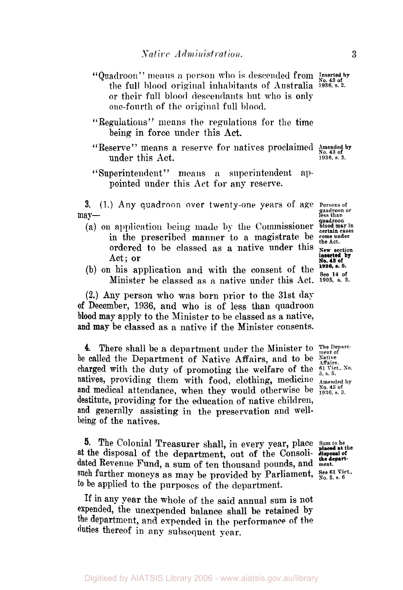- "Quadroon" means a person who is descended from Inserted by the full blood original inhabitants of Australia **1936, s. 2.**  or their full blood descendants hut who is only one-fourth of the original full blood.
- "Regulations" means the regulations for the time being in force under this **Act.**
- "Reserve" means a reserve for natives proclaimed **mended by**  under this Act.
- "Superintendent " means **a** superintendent appointed under this Act for any reserve.

**3.** (1.) Any quadroon over twenty-one years of age Persons of may-<br> **may** and the contract of the contract of the contract of the contract of the contract of the contract of the contract of the contract of the contract of the contract of the contract of the contract of the contract o

- (a) **on** application **being** made by the Commissioner *blood may in certain cases*  in the prescribed manner to a magistrate be come under the Act. ordered to be classed as a native under this **New section** Act; or **No. 43 of No. 43** of **No. 43** of
- **(b)** on his application and with the consent of the  $\frac{1936, 8.5}{24}$ Minister be classed as a native under this Act. 1905, s. 3.

**(2.)** Any person who **was** born prior to the 31st day *of* December, 1936, and who is of less than quadroon blood may apply to the Minister to be classed as **a** native, **and** may be classed as a native if the Minister consents.

**4.** There shall be a department under the Minister to The Departbe called the Department of Native Affairs, and to be *Native Affairs.*  charged with the duty of promoting the welfare of the  $\frac{61 \text{ Vic}}{5, \text{s.} 5}$ . natives, providing them with food, clothing, medicine  $\frac{\text{Ameasured by}}{\text{Ameasured by}}$  and medical attendance, when they would otherwise be  $\frac{\text{Na}}{1936}$ , s. 3. and medical attendance, when they would otherwise be destitute, providing for the education of native children, and generally assisting in the preservation and wellbeing of the natives.

**5.** The Colonial Treasurer shall, in every year, place Sum to be the disposal of the department, out of the Consoli-disposal of dated Revenue Fund, a sum of ten thousand pounds, and **ment.** at the disposal of the department, out of the Consolisuch further moneys as may be provided by Parliament, See 61 Vict., **to** be applied to the purposes of the department.

**If** in any year the whole of the said annual sum is not expended, the unexpended balance shall be retained by the department, and expended in the performance of the duties thereof in any subsequent year.

quadroon or<br>less than<br>**quadroon**<br>blood may in **inserted by** 

**No. 43 of**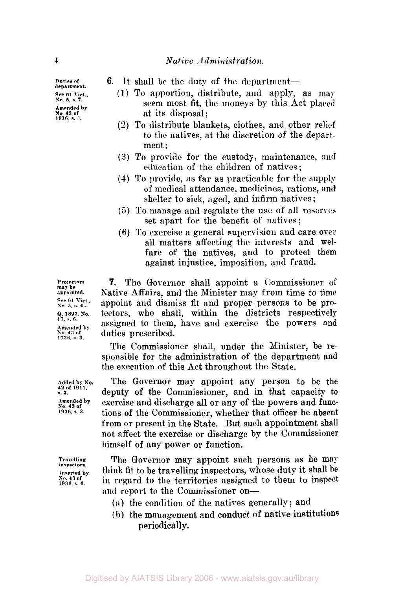## **4** *Native Administration.*

**Duties of department.**  *See* **61 Vict.. No. 5, s.** *7.*  **Amended by No. 43 of 1936.** s. **3.** 

- **6.** It shall be the duty of the department-
	- (I) To apportion, distribute, and apply, as may seem most fit, the moneys by this Act placed at its disposal;
	- **(2)** To distribute blankets, clothes, and other relief to the natives, at the discretion of the department:
	- **(3)** To provide for the custody, maintenance, and education of the children of natives ;
	- **(4)** To provide, as far as practicable for the supply of medical attendance, medicines, rations, and shelter to sick, aged, and infirm natives ;
	- (5) To manage and regulate the use of all reserves set apart for the benefit of natives;
	- **(6)** To exercise a general supervision and care over all matters affecting the interests and welfare of the natives, and to protect them against injustice, imposition, and fraud.

**7.** The Governor shall appoint a Commissioner **of**  Native Affairs, and the Minister may from time to time appoint and dismiss fit and proper persons to be protectors, who shall, within the districts respectively assigned to them, have and exercise the powers and duties prescribed.

The Commissioner shall, under the Minister, be responsible for the administration of the department **and**  the execution of this Act throughout the State.

The Governor may appoint any person to be the deputy **of** the Commissioner, and in that capacity to exercise and discharge all **or** any **of** the powers and functions of the Commissioner, whether that officer be absent from **or** present in the State. But such appointment shall not **affect** the exercise **or** discharge by the Commissioner himself of any power or function.

The Governor may appoint such persons as he **may**  think fit to be travelling inspectors, whose duty it shall be in regard to the territories assigned to them to inspect **and** report to the Commissioner on-

- (a) the condition of the natives generally; and
- **(b)** the management and conduct **of** native institutions periodically.

**Protectors may be appointed See 61 Vict..** *So.* **5. s. 4.. 17,** *s. 6.*  **Amended by No. <sup>43</sup>of 1936, s. 3.**  *Q;* **1897** *SO.* 

**Added by So. 42 of 1911, s.** *2.*  **Amended by No. <sup>43</sup>of 1936. s. 3.** 

**Travelling inspectors. Inserted by**  *No.* **43 of 1936. s. 6.**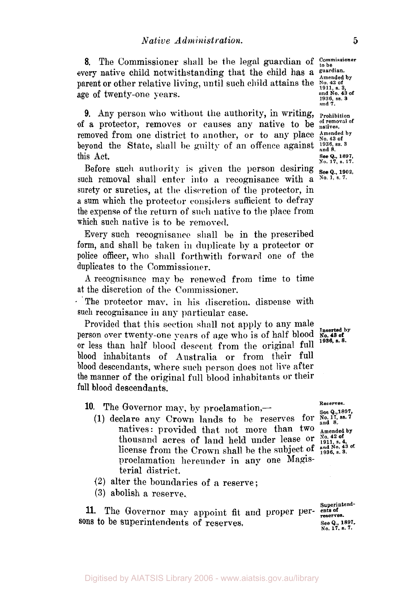8. The Commissioner shall be the legal guardian of <sup>Commissioner</sup> to be **the** *Commissioner* that the child has a guardian. every native child notwithstanding that the child has a suardian. parent or other relative living, until such child attains the **No. 42** of age of twenty-one years.

9. Any person who without the authority, in writing, **Prohibition** is a protector, removes or causes any native to be natives. of a protector, removes or causes any native to be removed from one district to another, or to any place Amended by beyond the State, shall be guilty of an offence against **1936, ss. 3 and 8.**  this Act.

Before such authority is given the person desiring  $_{\text{See Q}_{n}}$  1902, such removal shall enter into a recognisance with a <sup>No. 1, s. 7.</sup> surety or sureties, at the discretion of the protector, in **a** sum which the protector considers sufficient to defray the expense **of** the return of such native to the place from which such native is to be removed.

Every such recognisance shall be in the prescribed form, and shall be taken **in** duplicate by **a** protector or police officer, who shall forthwith forward one of the duplicates to the Commissioner.

*A* recognisance map be renewed from time to time at the discretion of the Commisioner

The protector may, in his discretion, dispense with such recognisance in **any** particular case.

Provided that this section shall not apply to any male person over twenty-one years of age who is of half blood **No. 43 of** or less than half blood descent from the original full blood inhabitants of Australia or from their full blood descendants, where such person does not live after the manner of the original full blood inhabitants or their full blood descendants.

**10.** The Governor may, by proclamation,—

- (1) declare any Crown lands to be reserves for natives: provided that not more than  $\mathbf{t}^{\text{wo}}$   $\mathbf{A}^{\text{mended by}}$ thousand acres of land held under lease or  $\frac{N_{0.42 \text{ of}}}{1911, s. 4}$ , in the Crown shall be the subject of  $\frac{1911, s. 41}{1936, s. 3}$ . license from the Crown shall be the subject of proclamation hereunder in any one Magisterial district.
- (2) alter the boundaries of a reserve;
- **(3)** abolish a reserve.

11. The Governor may appoint fit and proper per- ents of **sons** to be superintendents of reserves.

**and No. 43 of 1936,** *ss.* **3 and 7.** 

**See Q., 1897, No. 17,** *s.* **17.** 

**1936. s. 8.** 

**Reserves.** 

See **Q.,1897,**<br>No. 17, ss. 7<br>and 8.

**superintend-See** *Q.,* **1897. No. 17.** *s.* **7.**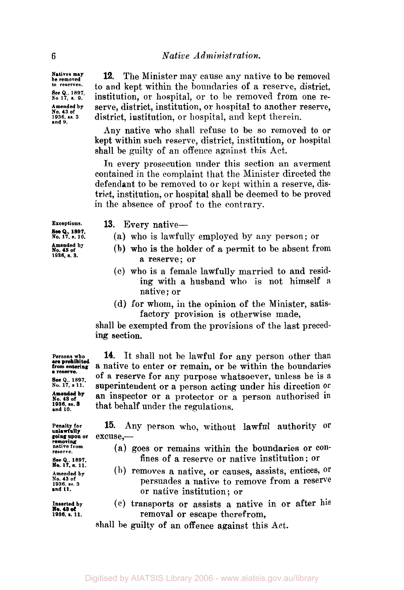**Natives may**  to reserves. **See** *Q.,* **1897. No 17, s. 9. Amended by No. 43 of 1936, ss.3 and 9.** 

**12.** The Minister may cause any native to be removed to and kept within the boundaries of a reserve, district, institution, or hospital, or to be removed from one reserve, district, institution, or hospital to another reserve, district, institution, or hospital, and kept therein.

Any native who shall refuse to be so removed to **or**  kept within such reserve, district, institution, or hospital shall be guilty of an offence against this Act.

In every prosecution under this section an averment contained in the complaint that the Minister directed the defendant to be removed to or **kept** within a reserve, district, institution, or hospital shall be deemed to be proved in the absence of proof to the contrary.

**Exceptions. See Q., 1897,**<br>No. 17, s. 10. **Amended by No. 43 of 1936, s. 3.** 

**13.** Every native-

- (a) who is lawfully employed by any person; or
- (b) who is the holder of a permit to be absent from a reserve; or
- (c) who is a female lawfully married to and residing with a husband who is not himself *<sup>a</sup>* native; or
- (d) for whom, in the opinion of the Minister, satisfactory provision is otherwise made,

shall be exempted from the provisions of the last preceding section.

14. It shall not be lawful for any person other than **from entering** a native to enter or remain, or be within the boundaries **SECUTE: 18981.02.** Of a reserve for any purpose whatsoever, unless he is a sec q., 1897. superintendent or a person acting under his direction or Amended by an inspector or a protector or a person authorised in 1936, ss. 3<br>
1936, ss. 3<br>
and 10.<br> **Amended by** and 10. that behalf under the regulations.

15. Any person who, without lawful authority or **going upon or** excuse,-

- **rative from** (a) goes or remains within the boundaries or confines of a reserve or native institution; or
- $A_{m,n}$  and  $A_{m}$  (b) **removes** a native, or causes, assists, entices, or  $A_{m,n}$  and  $A_{m}$  **because**  $A_{m}$  **causes**  $A_{m}$  **c**  $A_{m}$  **c**  $A_{m}$  **c**  $A_{m}$  **c**  $A_{m}$  **c**  $A_{m}$  **c**  $A_{m}$  **c**  $A_{m}$  **c**  $A_{m}$  **c**  $A$ No. 43 of<br> **No. 43 of ss.** 3 **persuades a native to remove from a reserve**<br> **and 11. and 11. and 11. and 11. and 11. and 11. and 11. and 11. and 11. and 11. and 11. and 11. and 11. and 11. and 1 and 11.** or native institution; or
- **Inserted by** (c) transports or assists a native in or after his removal or escape therefrom,

shall he guilty of an offence against this Act.

**Persons who<br>are prohibited<br>from entering a reserve. Amended by** 

**unlawfully removing No. 17, s.11.** 

**No. 48 of**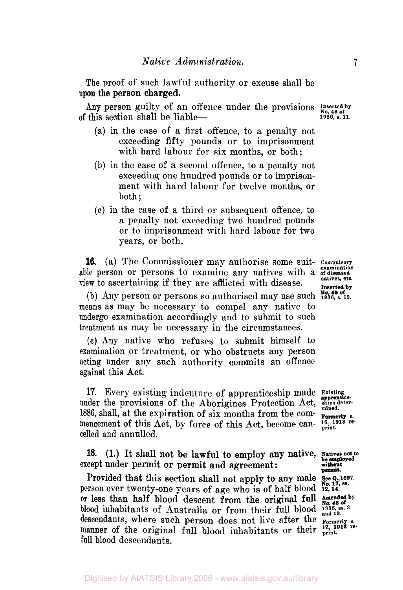The proof of such lawful authority or excuse shall be upon the person charged.

Any person guilty of an offence under the provisions less less that the section shad of this section shall be liable of this section shall be liable- **1936,** *s.* **11.** 

- (a) in the case of a first offence, to **a** penalty not exceeding fifty pounds or to imprisonment with hard labour for six months, or both;
- (b) in the case of a second offence, to a penalty not exceeding one hundred pounds or to imprisonment with hard labour for twelve months, or both;
- $(c)$  in the case of a third or subsequent offence, to a penalty not exceeding two hundred pounds or to imprisonment with hard labour for two years, or both.

**16.** (a) The Commissioner may authorise some suit- **Compulsory**  able person or persons to examine any natives with **a of diseased**  view to ascertaining if they are afflicted with disease. **Inserted by** 

(b) Any person or persons so authorised may use such  $\frac{No. 43 of}{1936, s. 12.}$ means as may be necessary to compel any native to undergo examination accordingly and to submit to such treatment as may be necessary in the circumstances.

(c) Any native who refuses to submit himself to examination or treatment, or who obstructs any person acting under any such authority commits an offence against this Act.

**17.** Every existing indenture of apprenticeship made **Existing** under the provisions of the Aborigines Protection Act, ships determined 1886, shall, at the expiration of six months from the commencement of this Act, by force of this Act, become can-  $\frac{16}{\text{print}}$  is recelled and annulled.

**18.**  (I.) It shall not be lawful **to** employ any native, **Natives not to he employed without**  except under permit or permit and agreement:

Provided that this section shall not apply to any male **See Q., 1897, Sp. Provided** in the set of the set of  $\mathbb{R}^n$ . or less than half blood descent from the original full Amended by person over twenty-one years of age who is of half blood **12, 14.**  blood inhabitants of Australia or from their full blood **1936**, ss. 3 descendants, where such person does not live after the **Formerly** s. manner of the original full blood inhabitants or their  $\frac{17}{\text{print}}$ , 1913 refull blood descendants.

**examination natives, etc.** 

**permit.** 

Digitised by AIATSIS Library 2006 - www.aiatsis.gov.au/library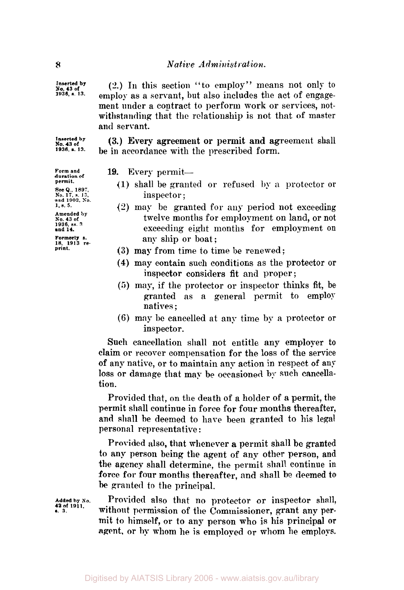Inserted **by 1936, s 13.** 

*(2.)* In this section "to employ" means not only to employ as **a** servant, but also includes the act of engagement under **a** contract to perform work or services, notwithstanding that the relationship is not that of master **and** servant.

 $\frac{\text{Inverted by}}{\text{No. 43 of}}$  (3.) **Every agreement or permit and agreement** shall  $\frac{\text{No. 43 of}}{\text{1936. a. 13.}}$  **be** in accordance with the prescribed form be in accordance with the prescribed form.

19. Every permit-

- (1) shall be granted or refused by a proteetor or inspector ;
- (2) may be granted for any period not exceeding twelve months for employment on land, or not exceeding eight months for employment on any ship or boat;
- **(3)** may from time to time **be** renewed;
- **(4)** may contain such conditions as the protector or inspector considers **fit** and proper ;
- *(5)* **may,** if the protector or inspector thinks fit, be granted as a general permit to employ natives ;
- **(6)** may be cancelled at any time by a protector or inspector.

Such cancellation shall not entitle any employer *to*  claim **or** recover compensation for the loss of the service of any native, or to maintain any action in respect of any loss or damage that may be occasioned by such cancellation.

Provided that, on the death of a holder of a permit, the permit shall continue in force for four months thereafter, and shall be deemed to hare been granted to his legal personal representative :

Provided also, that whenever a permit shall be granted to any person being the agent of any other person, and the agency shall determine, the permit shall continue in force for four months thereafter, and shall be deemed to **be** granted to the principal.

Provided also that no protector **or** inspector shall, without permission of the Commissioner, grant any per**mit** to himself, **or** to any person who is his principal **or agent, or** by whom he is employed **or whom** he employs.

**Form and duration of permit. See** *Q.,* **1897. No. 17. s. 13. and 1902, So. 1. s. 5. Amended by No. 43 of 1936. ss. 3 and 14. Formerly S. 18. 1913 re- print.** 

**Added by No. 42 of 1911,** s. **3.**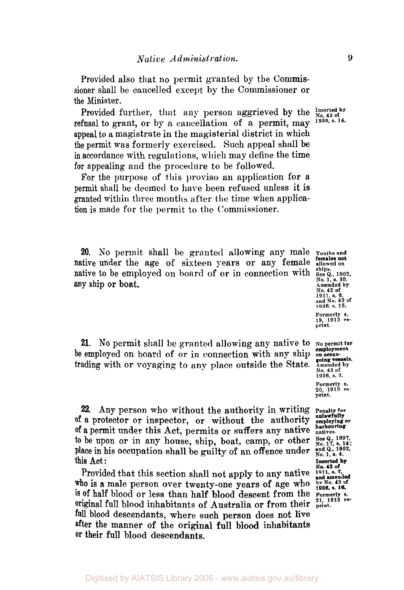Provided also that no permit granted by the Commissioner shall be cancelled except by the Commissioner or the Minister.

Provided further, that any person aggrieved by the  $\frac{Inseted by}{N_0}$  of  $\frac{1306}{N_0}$ ,  $\frac{1306}{N_0}$ ,  $\frac{1306}{N_0}$ refusal to grant, or by a cancellation of a permit, may appeal to **a** magistrate in the magisterial district in which the permit was formerly exercised. Such appeal shall be in accordance with regulations, which may define the time for appealing and the procedure to be followed.

For the purpose of this proviso an application for **a**  permit shall be deemed to hare been refused unless it is granted within three months after the time when applica**tion** is made for the permit to the Commissioner.

**20.** No permit shall be granted allowing any male **Youths and**  native under the age of sixteen years or any female native to be employed on board of or in connection with any ship or boat.

**21.** No permit shall be granted allowing any native to **No permit for employment**  trading with or voyaging to any place outside the State. A mended by No. 43 of **be** employed on board of or in connection with any ship **on ocean-**

**22.** Any person who without the authority in writing of a protector or inspector, or without the authority of a permit under this Act, permits **or** suffers any native **natives.**  to be upon or in any house, ship, boat, camp, or other  $S_{0.17, 8.14}^{See Q., 1897, p.}$ place in his occupation-shall be guilty of an offence under  $\frac{and \, Q_{n}}{N_{0}}$ , 1, s. 4. this Act :

Provided that this section shall not apply to any native **1911, s. 7**, and amended<br>ho is a male person over twenty one years of age who by No. 43 of is **of** half blood or less than half blood descent from the *Formerly s. 21, 1913 re*original full blood inhabitants of Australia **or** from their **print.**  full blood descendants, where such person does not live after the manner of the original full blood inhabitants **or** their full blood descendants. who is a male person over twenty-one years of age who

**females not No.1, s.10. Amended by No. 42 of 1911, s. 6, end No. 43 of 1936, s. 15. Formerly s. 19, 1913 re- print.** 

**1936, s. 3. Formerly s. 20, 1913 re- print.** 

**Penalty for<br>unlawfully<br>employing or harbouring** 

**Inserted by No. 42 of** 

**1936, s. 16.**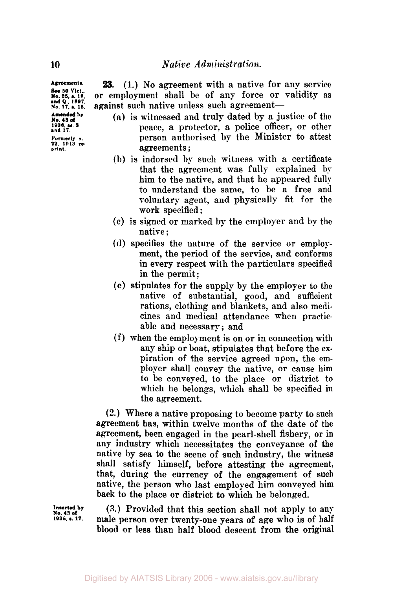*23.* (1.) No agreement with a native for any service or employment shall be of any force or validity as against such native unless such agreement-

- **(a)** is witnessed and truly dated by a justice of the peace, a protector, a police officer, or other person authorised by the Minister to attest agreements ;
- **(b)** is indorsed by such witness with a certificate that the agreement was fully explained by him to the native, and that he appeared fully to understand the same, to he a free and voluntary agent, and physically fit for the work specified ;
- **(c)** is signed or marked by the employer and by the native ;
- **(d)** specifies the nature of the service or employment, the period of the service, and conforms in every respect with the particulars specified in the permit ;
- (e) stipulates for the supply by the employer to the native of substantial, good, and sufficient rations, clothing and blankets, and also medicines and medical attendance when practicable and necessary; and
- (f) when the employment is on or in connection with any ship or boat, stipulates that before the expiration of the service agreed upon, the employer shall convey the native, or cause him to be conveyed, to the place or district to which he belongs, which shall be specified in the agreement.

**(2.)** Where a native proposing to become party to such agreement has, within twelve months of the date of the agreement, been engaged in the pearl-shell fishery, or in any industry which necessitates the conveyance of the native by sea to the scene of such industry, the witness shall satisfy himself, before attesting the agreement, that, during the currency of the engagement of **such**  native, the person who last employed him conveyed **him**  back to the place or district to which he belonged.

**Inserted by No. 43 of 1936 s.17.** 

**(3.) Provided that this section shall not apply to any** male person over twenty-one years of age who is of half blood or less than half blood descent from the original

**Agreements** 

**See 50 Vict.,**<br> **No. 25, s. 18, and Q., 1897,**<br> **No. 17, s. 15. Amended by 1936. U. 3 No. 43 of and 17. Formerly s. 22.1913 re. print.**